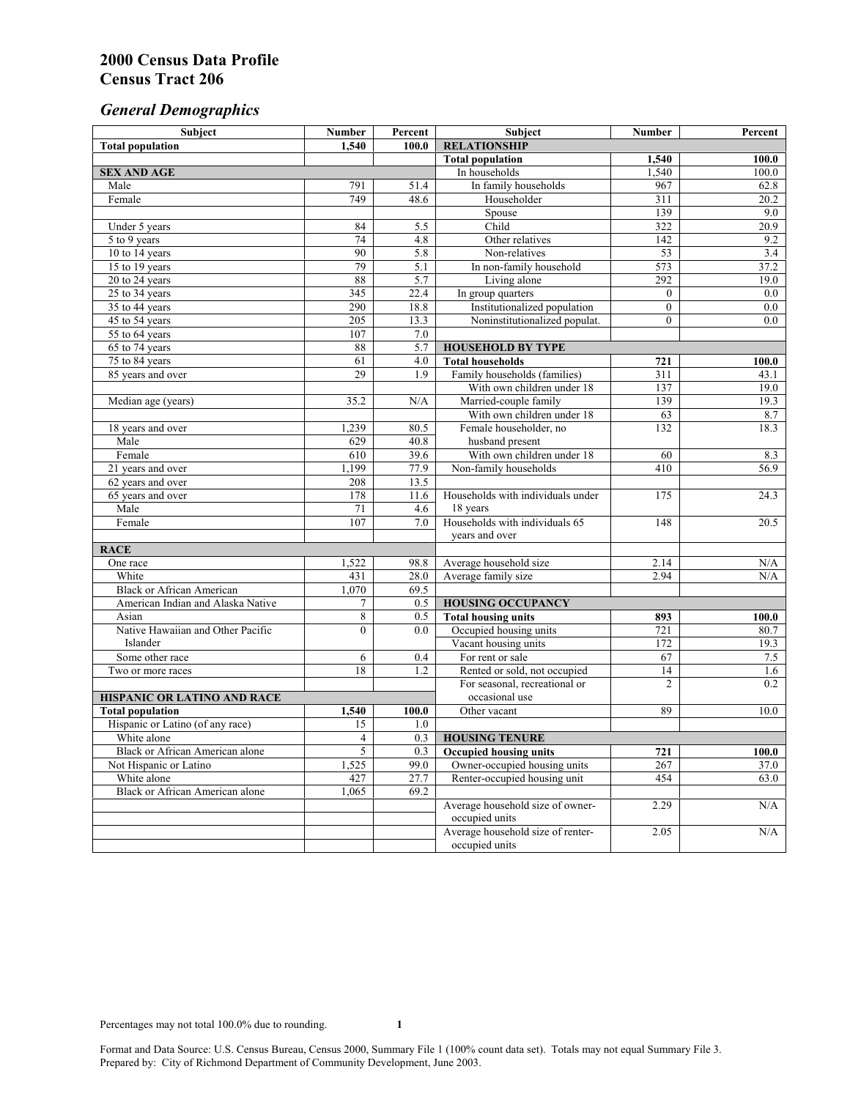# *General Demographics*

| Subject                                | <b>Number</b>   | Percent | Subject                                       | Number          | Percent |
|----------------------------------------|-----------------|---------|-----------------------------------------------|-----------------|---------|
| <b>Total population</b>                | 1.540           | 100.0   | <b>RELATIONSHIP</b>                           |                 |         |
|                                        |                 |         | <b>Total population</b>                       | 1,540           | 100.0   |
| <b>SEX AND AGE</b>                     |                 |         | In households                                 | 1,540           | 100.0   |
| Male                                   | 791             | 51.4    | In family households                          | 967             | 62.8    |
| Female                                 | 749             | 48.6    | Householder                                   | 311             | 20.2    |
|                                        |                 |         | Spouse                                        | 139             | 9.0     |
| Under 5 years                          | 84              | 5.5     | Child                                         | 322             | 20.9    |
| 5 to 9 years                           | $\overline{74}$ | 4.8     | Other relatives                               | 142             | 9.2     |
| 10 to 14 years                         | 90              | 5.8     | Non-relatives                                 | $\overline{53}$ | 3.4     |
| 15 to 19 years                         | 79              | 5.1     | In non-family household                       | 573             | 37.2    |
| 20 to 24 years                         | 88              | 5.7     | Living alone                                  | 292             | 19.0    |
| 25 to 34 years                         | 345             | 22.4    | In group quarters                             | $\overline{0}$  | 0.0     |
| 35 to 44 years                         | 290             | 18.8    | Institutionalized population                  | $\mathbf{0}$    | 0.0     |
| 45 to 54 years                         | 205             | 13.3    | Noninstitutionalized populat.                 | $\overline{0}$  | 0.0     |
| 55 to 64 years                         | 107             | 7.0     |                                               |                 |         |
| 65 to 74 years                         | 88              | 5.7     | <b>HOUSEHOLD BY TYPE</b>                      |                 |         |
| 75 to 84 years                         | 61              | 4.0     | <b>Total households</b>                       | 721             | 100.0   |
| 85 years and over                      | 29              | 1.9     | Family households (families)                  | 311             | 43.1    |
|                                        |                 |         | With own children under 18                    | 137             | 19.0    |
| Median age (years)                     | 35.2            | N/A     | Married-couple family                         | 139             | 19.3    |
|                                        |                 |         | With own children under 18                    | 63              | 8.7     |
| 18 years and over                      | 1,239           | 80.5    | Female householder, no                        | 132             | 18.3    |
| Male                                   | 629             | 40.8    | husband present                               |                 |         |
| Female                                 | 610             | 39.6    | With own children under 18                    | 60              | 8.3     |
| 21 years and over                      | 1,199           | 77.9    | Non-family households                         | 410             | 56.9    |
| 62 years and over                      | 208             | 13.5    |                                               |                 |         |
| 65 years and over                      | 178             | 11.6    | Households with individuals under             | 175             | 24.3    |
| Male<br>Female                         | 71              | 4.6     | 18 years<br>Households with individuals 65    |                 |         |
|                                        | 107             | 7.0     |                                               | 148             | 20.5    |
| <b>RACE</b>                            |                 |         | years and over                                |                 |         |
| One race                               | 1,522           | 98.8    |                                               | 2.14            | N/A     |
| White                                  | 431             | 28.0    | Average household size<br>Average family size | 2.94            | N/A     |
| <b>Black or African American</b>       | 1,070           | 69.5    |                                               |                 |         |
| American Indian and Alaska Native      | 7               | 0.5     | <b>HOUSING OCCUPANCY</b>                      |                 |         |
| Asian                                  | 8               | 0.5     | <b>Total housing units</b>                    | 893             | 100.0   |
| Native Hawaiian and Other Pacific      | $\theta$        | 0.0     | Occupied housing units                        | 721             | 80.7    |
| Islander                               |                 |         | Vacant housing units                          | 172             | 19.3    |
| Some other race                        | 6               | 0.4     | For rent or sale                              | 67              | $7.5\,$ |
| Two or more races                      | $\overline{18}$ | 1.2     | Rented or sold, not occupied                  | 14              | 1.6     |
|                                        |                 |         | For seasonal, recreational or                 | $\overline{c}$  | 0.2     |
| HISPANIC OR LATINO AND RACE            |                 |         | occasional use                                |                 |         |
| <b>Total population</b>                | 1,540           | 100.0   | Other vacant                                  | 89              | 10.0    |
| Hispanic or Latino (of any race)       | 15              | 1.0     |                                               |                 |         |
| White alone                            | 4               | 0.3     | <b>HOUSING TENURE</b>                         |                 |         |
| Black or African American alone        | 5               | 0.3     | <b>Occupied housing units</b>                 | 721             | 100.0   |
| Not Hispanic or Latino                 | 1,525           | 99.0    | Owner-occupied housing units                  | 267             | 37.0    |
| White alone                            | 427             | 27.7    | Renter-occupied housing unit                  | 454             | 63.0    |
| <b>Black or African American alone</b> | 1,065           | 69.2    |                                               |                 |         |
|                                        |                 |         | Average household size of owner-              | 2.29            | N/A     |
|                                        |                 |         | occupied units                                |                 |         |
|                                        |                 |         | Average household size of renter-             | 2.05            | N/A     |
|                                        |                 |         | occupied units                                |                 |         |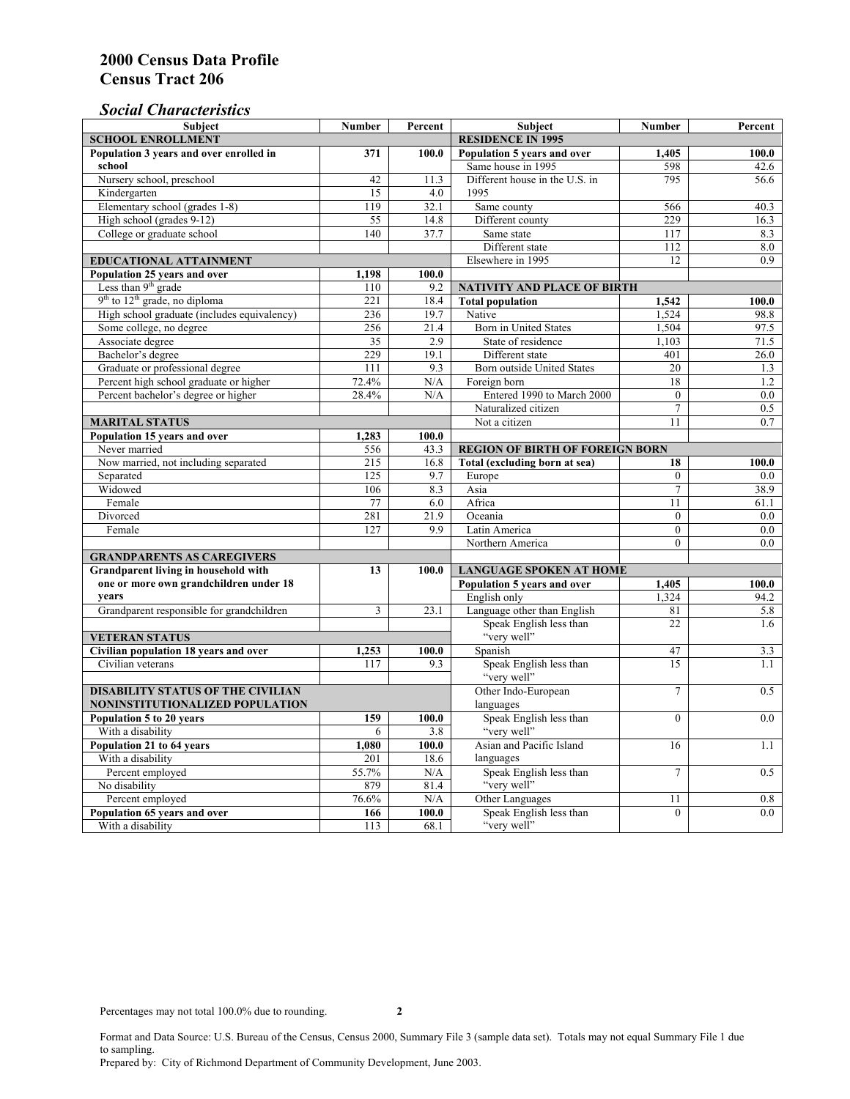### *Social Characteristics*

| <b>Subject</b>                              | <b>Number</b>            | Percent        | Subject                                | <b>Number</b>  | Percent       |
|---------------------------------------------|--------------------------|----------------|----------------------------------------|----------------|---------------|
| <b>SCHOOL ENROLLMENT</b>                    | <b>RESIDENCE IN 1995</b> |                |                                        |                |               |
| Population 3 years and over enrolled in     | 371                      | 100.0          | Population 5 years and over            | 1,405          | 100.0         |
| school                                      |                          |                | Same house in 1995                     | 598            | 42.6          |
| Nursery school, preschool                   | 42                       | 11.3           | Different house in the U.S. in         | 795            | 56.6          |
| Kindergarten                                | 15                       | 4.0            | 1995                                   |                |               |
| Elementary school (grades 1-8)              | 119                      | 32.1           | Same county                            | 566            | 40.3          |
| High school (grades 9-12)                   | 55                       | 14.8           | Different county                       | 229            | 16.3          |
| College or graduate school                  | 140                      | 37.7           | Same state                             | 117            | 8.3           |
|                                             |                          |                | Different state                        | 112            | $\ \, 8.0$    |
| <b>EDUCATIONAL ATTAINMENT</b>               |                          |                | Elsewhere in 1995                      | 12             | 0.9           |
| Population 25 years and over                | 1,198                    | 100.0          |                                        |                |               |
| Less than 9 <sup>th</sup> grade             | 110                      | 9.2            | NATIVITY AND PLACE OF BIRTH            |                |               |
| $9th$ to $12th$ grade, no diploma           | 221                      | 18.4           | <b>Total population</b>                | 1,542          | 100.0         |
| High school graduate (includes equivalency) | 236                      | 19.7           | Native                                 | 1.524          | 98.8          |
| Some college, no degree                     | 256                      | 21.4           | Born in United States                  | 1,504          | 97.5          |
| Associate degree                            | 35                       | 2.9            | State of residence                     | 1,103          | 71.5          |
| Bachelor's degree                           | 229                      | 19.1           | Different state                        | 401            | 26.0          |
| Graduate or professional degree             | 111                      | 9.3            | <b>Born outside United States</b>      | 20             | 1.3           |
| Percent high school graduate or higher      | 72.4%                    | N/A            | Foreign born                           | 18             | 1.2           |
| Percent bachelor's degree or higher         | 28.4%                    | N/A            | Entered 1990 to March 2000             | $\mathbf{0}$   | $0.0\,$       |
|                                             |                          |                | Naturalized citizen                    | $\overline{7}$ | $0.5^{\circ}$ |
| <b>MARITAL STATUS</b>                       |                          |                | Not a citizen                          | 11             | 0.7           |
| Population 15 years and over                | 1,283                    | 100.0          |                                        |                |               |
| Never married                               | 556                      | 43.3           | <b>REGION OF BIRTH OF FOREIGN BORN</b> |                |               |
| Now married, not including separated        | 215                      | 16.8           | Total (excluding born at sea)          | 18             | 100.0         |
| Separated                                   | 125                      | 9.7            | Europe                                 | $\mathbf{0}$   | $0.0\,$       |
| Widowed                                     | 106                      | 8.3            | Asia                                   | $\overline{7}$ | 38.9          |
| Female                                      | 77                       | 6.0            | Africa                                 | 11             | 61.1          |
| Divorced                                    | 281                      | 21.9           | Oceania                                | $\theta$       | 0.0           |
| Female                                      | 127                      | 9.9            | Latin America                          | $\mathbf{0}$   | $0.0\,$       |
|                                             |                          |                | Northern America                       | $\theta$       | 0.0           |
| <b>GRANDPARENTS AS CAREGIVERS</b>           | 13                       |                |                                        |                |               |
| <b>Grandparent living in household with</b> |                          | 100.0          | <b>LANGUAGE SPOKEN AT HOME</b>         |                |               |
| one or more own grandchildren under 18      |                          |                | Population 5 years and over            | 1,405          | 100.0         |
| years                                       |                          |                | English only                           | 1,324          | 94.2          |
| Grandparent responsible for grandchildren   | 3                        | 23.1           | Language other than English            | 81             | 5.8           |
|                                             |                          |                | Speak English less than                | 22             | 1.6           |
| <b>VETERAN STATUS</b>                       |                          |                | "very well"                            |                |               |
| Civilian population 18 years and over       | 1,253                    | 100.0          | Spanish                                | 47<br>15       | 3.3           |
| Civilian veterans                           | 117                      | 9.3            | Speak English less than<br>"very well" |                | 1.1           |
| <b>DISABILITY STATUS OF THE CIVILIAN</b>    | Other Indo-European      | $\overline{7}$ | 0.5                                    |                |               |
| NONINSTITUTIONALIZED POPULATION             | languages                |                |                                        |                |               |
| Population 5 to 20 years                    | 159                      | 100.0          | Speak English less than                | $\Omega$       | 0.0           |
| With a disability                           | 6                        | 3.8            | "very well"                            |                |               |
| Population 21 to 64 years                   | 1,080                    | 100.0          | Asian and Pacific Island               | 16             | 1.1           |
| With a disability                           | 201                      | 18.6           | languages                              |                |               |
| Percent employed                            | 55.7%                    | N/A            | Speak English less than                | $\overline{7}$ | 0.5           |
| No disability                               | 879                      | 81.4           | "very well"                            |                |               |
| Percent employed                            | 76.6%                    | N/A            | Other Languages                        | 11             | 0.8           |
| Population 65 years and over                | 166                      | 100.0          | Speak English less than                | $\mathbf{0}$   | 0.0           |
| With a disability                           | 113                      | 68.1           | "very well"                            |                |               |

Format and Data Source: U.S. Bureau of the Census, Census 2000, Summary File 3 (sample data set). Totals may not equal Summary File 1 due to sampling.

Prepared by: City of Richmond Department of Community Development, June 2003.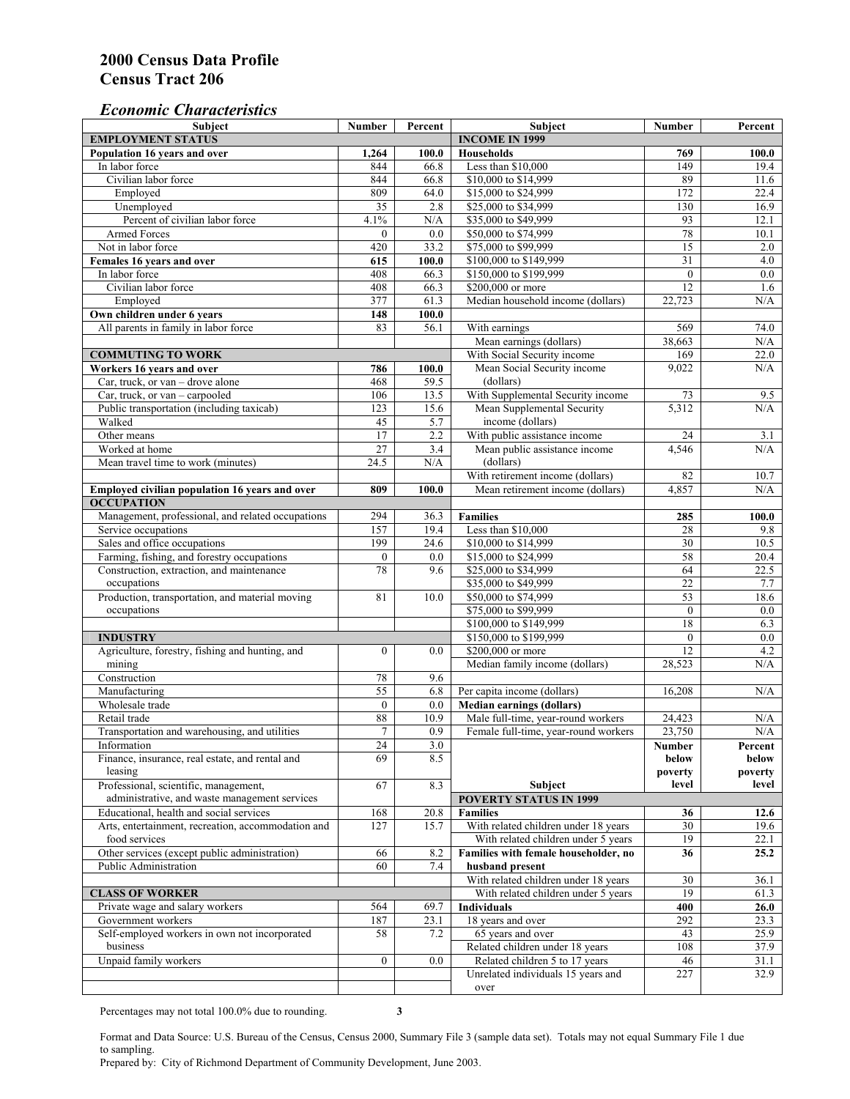#### *Economic Characteristics*

| <b>Subject</b>                                     | Number           | Percent           | Subject                                    | Number           | Percent          |
|----------------------------------------------------|------------------|-------------------|--------------------------------------------|------------------|------------------|
| <b>EMPLOYMENT STATUS</b>                           |                  |                   | <b>INCOME IN 1999</b>                      |                  |                  |
| Population 16 years and over                       | 1,264            | 100.0             | <b>Households</b>                          | 769              | 100.0            |
| In labor force                                     | 844              | 66.8              | Less than \$10,000                         | 149              | 19.4             |
| Civilian labor force                               | 844              | $66.\overline{8}$ | \$10,000 to \$14,999                       | 89               | 11.6             |
| Employed                                           | 809              | 64.0              | \$15,000 to \$24,999                       | 172              | 22.4             |
| Unemployed                                         | 35               | 2.8               | \$25,000 to \$34,999                       | 130              | 16.9             |
| Percent of civilian labor force                    | 4.1%             | N/A               | \$35,000 to \$49,999                       | 93               | 12.1             |
| Armed Forces                                       | $\mathbf{0}$     | 0.0               | \$50,000 to \$74,999                       | 78               | 10.1             |
| Not in labor force                                 | 420              | 33.2              | \$75,000 to \$99,999                       | 15               | 2.0              |
| Females 16 years and over                          | 615              | 100.0             | \$100,000 to \$149,999                     | $\overline{31}$  | $4.0\,$          |
| In labor force                                     | 408              | 66.3              | \$150,000 to \$199,999                     | $\mathbf{0}$     | $\overline{0.0}$ |
| Civilian labor force                               | 408              | 66.3              | \$200,000 or more                          | 12               | 1.6              |
| Employed                                           | 377              | 61.3              | Median household income (dollars)          | 22,723           | N/A              |
| Own children under 6 years                         | 148              | 100.0             |                                            |                  |                  |
| All parents in family in labor force               | 83               | 56.1              | With earnings                              | 569              | 74.0             |
|                                                    |                  |                   | Mean earnings (dollars)                    | 38,663           | N/A              |
| <b>COMMUTING TO WORK</b>                           |                  |                   | With Social Security income                | 169              | 22.0             |
| Workers 16 years and over                          | 786              | 100.0             | Mean Social Security income                | 9,022            | N/A              |
| Car, truck, or van – drove alone                   | 468              | 59.5              | (dollars)                                  |                  |                  |
| Car, truck, or van - carpooled                     | 106              | 13.5              | With Supplemental Security income          | 73               | 9.5              |
| Public transportation (including taxicab)          | 123              | 15.6              | Mean Supplemental Security                 | 5,312            | N/A              |
| Walked                                             | 45               | 5.7               | income (dollars)                           |                  |                  |
| Other means                                        | 17               | 2.2               | With public assistance income              | 24               | 3.1              |
| Worked at home                                     | 27               | 3.4               |                                            | 4,546            | N/A              |
|                                                    |                  |                   | Mean public assistance income<br>(dollars) |                  |                  |
| Mean travel time to work (minutes)                 | 24.5             | N/A               |                                            |                  |                  |
|                                                    |                  |                   | With retirement income (dollars)           | 82               | 10.7             |
| Employed civilian population 16 years and over     | 809              | 100.0             | Mean retirement income (dollars)           | 4,857            | N/A              |
| <b>OCCUPATION</b>                                  |                  |                   |                                            |                  |                  |
| Management, professional, and related occupations  | 294              | 36.3              | <b>Families</b>                            | 285              | 100.0            |
| Service occupations                                | 157              | 19.4              | Less than \$10,000                         | 28               | 9.8              |
| Sales and office occupations                       | 199              | 24.6              | \$10,000 to \$14,999                       | 30               | 10.5             |
| Farming, fishing, and forestry occupations         | $\boldsymbol{0}$ | 0.0               | \$15,000 to \$24,999                       | 58               | 20.4             |
| Construction, extraction, and maintenance          | 78               | 9.6               | \$25,000 to \$34,999                       | 64               | 22.5             |
| occupations                                        |                  |                   | \$35,000 to \$49,999                       | $\overline{22}$  | 7.7              |
| Production, transportation, and material moving    | 81               | 10.0              | \$50,000 to \$74,999                       | 53               | 18.6             |
| occupations                                        |                  |                   | \$75,000 to \$99,999                       | $\boldsymbol{0}$ | 0.0              |
|                                                    |                  |                   | \$100,000 to \$149,999                     | 18               | 6.3              |
| <b>INDUSTRY</b>                                    |                  |                   | \$150,000 to \$199,999                     | $\mathbf{0}$     | 0.0              |
| Agriculture, forestry, fishing and hunting, and    | $\boldsymbol{0}$ | 0.0               | \$200,000 or more                          | 12               | 4.2              |
| mining                                             |                  |                   | Median family income (dollars)             | 28,523           | N/A              |
| Construction                                       | 78               | 9.6               |                                            |                  |                  |
| Manufacturing                                      | $\overline{55}$  | 6.8               | Per capita income (dollars)                | 16,208           | N/A              |
| Wholesale trade                                    | $\mathbf{0}$     | 0.0               | <b>Median earnings (dollars)</b>           |                  |                  |
| Retail trade                                       | 88               | 10.9              | Male full-time, year-round workers         | 24,423           | N/A              |
| Transportation and warehousing, and utilities      | $\tau$           | 0.9               | Female full-time, year-round workers       | 23,750           | N/A              |
| Information                                        | 24               | 3.0               |                                            | Number           | Percent          |
| Finance, insurance, real estate, and rental and    | 69               | 8.5               |                                            | below            | below            |
| leasing                                            |                  |                   |                                            | poverty          | poverty          |
| Professional, scientific, management,              | 67               | 8.3               | Subject                                    | level            | level            |
| administrative, and waste management services      |                  |                   | <b>POVERTY STATUS IN 1999</b>              |                  |                  |
| Educational, health and social services            | 168              | 20.8              | Families                                   | 36               | 12.6             |
| Arts, entertainment, recreation, accommodation and | 127              | 15.7              | With related children under 18 years       | 30               | 19.6             |
| food services                                      |                  |                   | With related children under 5 years        | 19               | 22.1             |
| Other services (except public administration)      | 66               | 8.2               | Families with female householder, no       | 36               | 25.2             |
| Public Administration                              | 60               | 7.4               | husband present                            |                  |                  |
|                                                    |                  |                   | With related children under 18 years       | 30               | 36.1             |
| <b>CLASS OF WORKER</b>                             |                  |                   | With related children under 5 years        | 19               | 61.3             |
| Private wage and salary workers                    | 564              | 69.7              | Individuals                                | 400              | 26.0             |
| Government workers                                 | 187              | 23.1              | 18 years and over                          | 292              | 23.3             |
| Self-employed workers in own not incorporated      | 58               | 7.2               | 65 years and over                          | 43               | 25.9             |
| business                                           |                  |                   | Related children under 18 years            | 108              | 37.9             |
| Unpaid family workers                              | $\mathbf{0}$     | 0.0               | Related children 5 to 17 years             | 46               | 31.1             |
|                                                    |                  |                   | Unrelated individuals 15 years and         | 227              | 32.9             |
|                                                    |                  |                   |                                            |                  |                  |
|                                                    |                  |                   | over                                       |                  |                  |

Percentages may not total 100.0% due to rounding. **3** 

Format and Data Source: U.S. Bureau of the Census, Census 2000, Summary File 3 (sample data set). Totals may not equal Summary File 1 due to sampling.

Prepared by: City of Richmond Department of Community Development, June 2003.